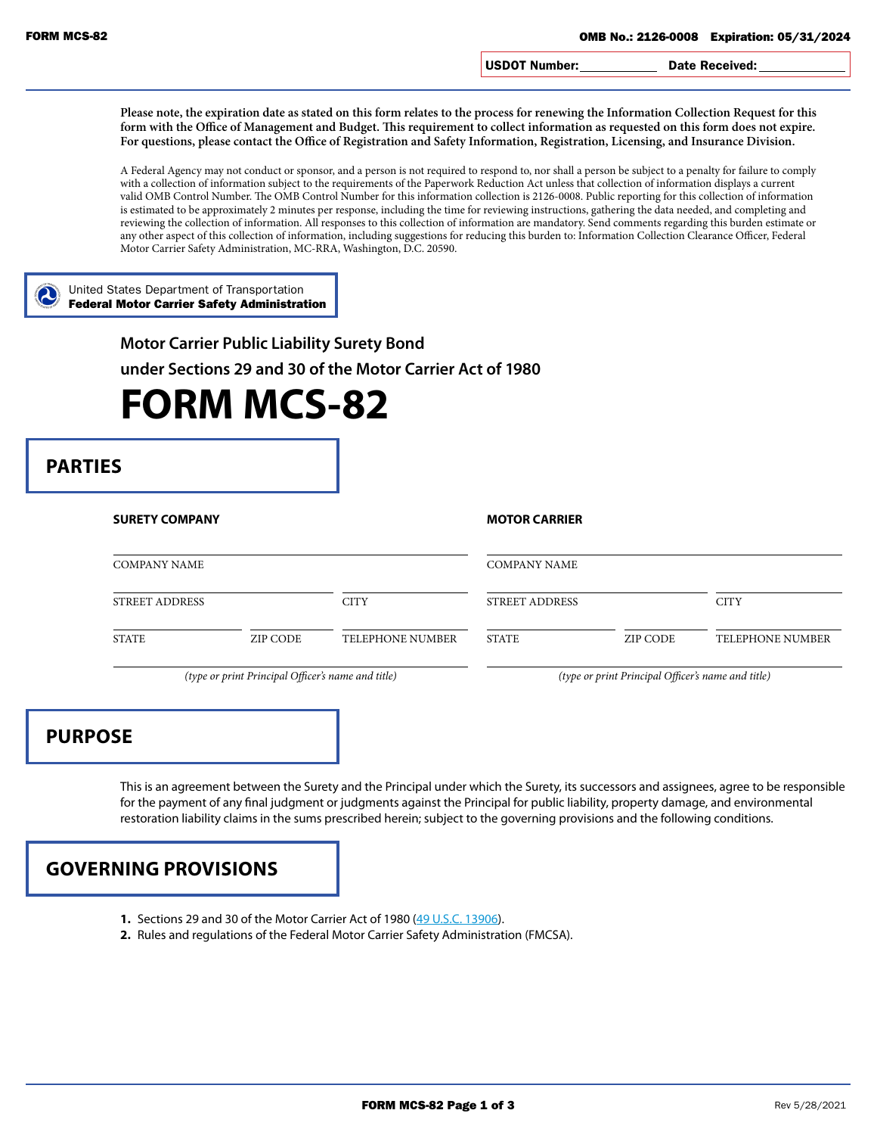USDOT Number: Date Received:

**Please note, the expiration date as stated on this form relates to the process for renewing the Information Collection Request for this**  form with the Office of Management and Budget. This requirement to collect information as requested on this form does not expire. **For questions, please contact the Office of Registration and Safety Information, Registration, Licensing, and Insurance Division.**

A Federal Agency may not conduct or sponsor, and a person is not required to respond to, nor shall a person be subject to a penalty for failure to comply with a collection of information subject to the requirements of the Paperwork Reduction Act unless that collection of information displays a current valid OMB Control Number. The OMB Control Number for this information collection is 2126-0008. Public reporting for this collection of information is estimated to be approximately 2 minutes per response, including the time for reviewing instructions, gathering the data needed, and completing and reviewing the collection of information. All responses to this collection of information are mandatory. Send comments regarding this burden estimate or any other aspect of this collection of information, including suggestions for reducing this burden to: Information Collection Clearance Officer, Federal Motor Carrier Safety Administration, MC-RRA, Washington, D.C. 20590.

United States Department of Transportation Federal Motor Carrier Safety Administration

**Motor Carrier Public Liability Surety Bond**

**under Sections 29 and 30 of the Motor Carrier Act of 1980**

## **FORM MCS-82**

## **PARTIES**

| <b>SURETY COMPANY</b> |          |                         | <b>MOTOR CARRIER</b>  |          |                  |
|-----------------------|----------|-------------------------|-----------------------|----------|------------------|
| <b>COMPANY NAME</b>   |          |                         | <b>COMPANY NAME</b>   |          |                  |
| <b>STREET ADDRESS</b> |          | <b>CITY</b>             | <b>STREET ADDRESS</b> |          | <b>CITY</b>      |
| <b>STATE</b>          | ZIP CODE | <b>TELEPHONE NUMBER</b> | STATE                 | ZIP CODE | TELEPHONE NUMBER |

*(type or print Principal Officer's name and title) (type or print Principal Officer's name and title)*

## **PURPOSE**

This is an agreement between the Surety and the Principal under which the Surety, its successors and assignees, agree to be responsible for the payment of any final judgment or judgments against the Principal for public liability, property damage, and environmental restoration liability claims in the sums prescribed herein; subject to the governing provisions and the following conditions.



- **1.** Sections 29 and 30 of the Motor Carrier Act of 1980 ([49 U.S.C. 13906\)](https://www.gpo.gov/fdsys/pkg/USCODE-2011-title49/pdf/USCODE-2011-title49-subtitleIV-partB-chap139-sec13906.pdf).
- **2.** Rules and regulations of the Federal Motor Carrier Safety Administration (FMCSA).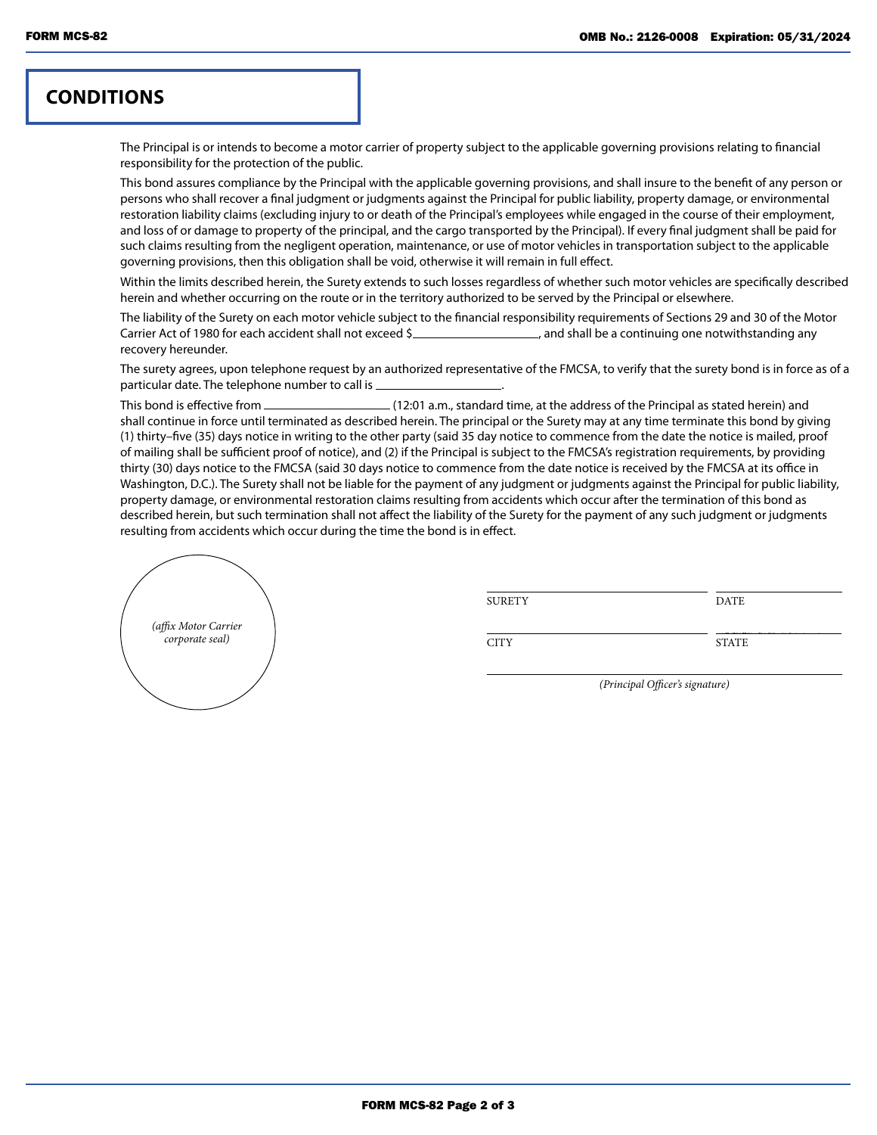## **CONDITIONS**

The Principal is or intends to become a motor carrier of property subject to the applicable governing provisions relating to financial responsibility for the protection of the public.

This bond assures compliance by the Principal with the applicable governing provisions, and shall insure to the benefit of any person or persons who shall recover a final judgment or judgments against the Principal for public liability, property damage, or environmental restoration liability claims (excluding injury to or death of the Principal's employees while engaged in the course of their employment, and loss of or damage to property of the principal, and the cargo transported by the Principal). If every final judgment shall be paid for such claims resulting from the negligent operation, maintenance, or use of motor vehicles in transportation subject to the applicable governing provisions, then this obligation shall be void, otherwise it will remain in full effect.

Within the limits described herein, the Surety extends to such losses regardless of whether such motor vehicles are specifically described herein and whether occurring on the route or in the territory authorized to be served by the Principal or elsewhere.

The liability of the Surety on each motor vehicle subject to the financial responsibility requirements of Sections 29 and 30 of the Motor Carrier Act of 1980 for each accident shall not exceed \$ , and shall be a continuing one notwithstanding any recovery hereunder.

The surety agrees, upon telephone request by an authorized representative of the FMCSA, to verify that the surety bond is in force as of a particular date. The telephone number to call is .

This bond is effective from (12:01 a.m., standard time, at the address of the Principal as stated herein) and shall continue in force until terminated as described herein. The principal or the Surety may at any time terminate this bond by giving (1) thirty–five (35) days notice in writing to the other party (said 35 day notice to commence from the date the notice is mailed, proof of mailing shall be sufficient proof of notice), and (2) if the Principal is subject to the FMCSA's registration requirements, by providing thirty (30) days notice to the FMCSA (said 30 days notice to commence from the date notice is received by the FMCSA at its office in Washington, D.C.). The Surety shall not be liable for the payment of any judgment or judgments against the Principal for public liability, property damage, or environmental restoration claims resulting from accidents which occur after the termination of this bond as described herein, but such termination shall not affect the liability of the Surety for the payment of any such judgment or judgments resulting from accidents which occur during the time the bond is in effect.



| <b>SURETY</b> | <b>DATE</b>  |
|---------------|--------------|
|               |              |
| <b>CITY</b>   | <b>STATE</b> |

*(Principal Officer's signature)*